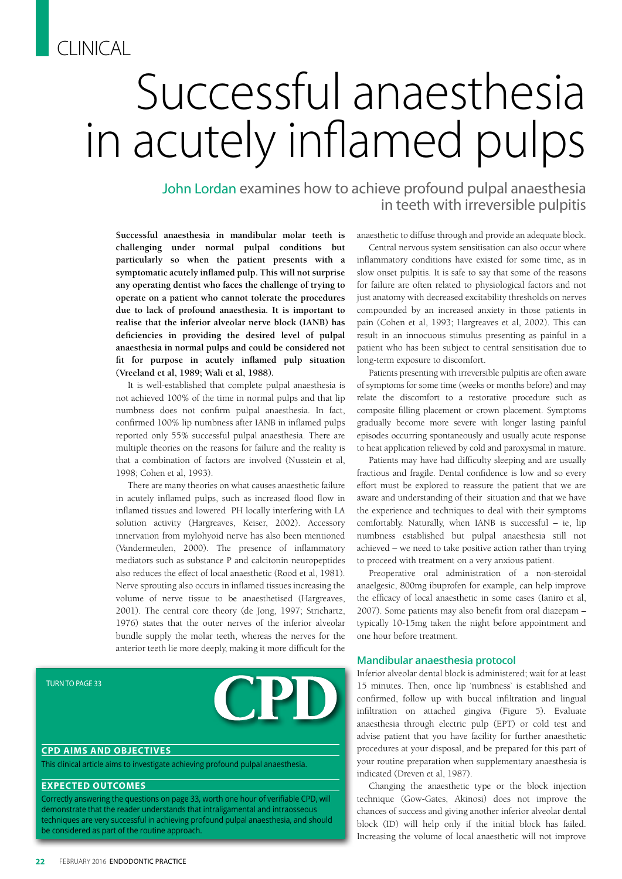# CLINICAL

# Successful anaesthesia in acutely inflamed pulps

John Lordan examines how to achieve profound pulpal anaesthesia in teeth with irreversible pulpitis

**Successful anaesthesia in mandibular molar teeth is challenging under normal pulpal conditions but particularly so when the patient presents with a symptomatic acutely inflamed pulp. This will not surprise any operating dentist who faces the challenge of trying to operate on a patient who cannot tolerate the procedures due to lack of profound anaesthesia. It is important to realise that the inferior alveolar nerve block (IANB) has deficiencies in providing the desired level of pulpal anaesthesia in normal pulps and could be considered not fit for purpose in acutely inflamed pulp situation (Vreeland et al, 1989; Wali et al, 1988).** 

It is well-established that complete pulpal anaesthesia is not achieved 100% of the time in normal pulps and that lip numbness does not confirm pulpal anaesthesia. In fact, confirmed 100% lip numbness after IANB in inflamed pulps reported only 55% successful pulpal anaesthesia. There are multiple theories on the reasons for failure and the reality is that a combination of factors are involved (Nusstein et al, 1998; Cohen et al, 1993).

There are many theories on what causes anaesthetic failure in acutely inflamed pulps, such as increased flood flow in inflamed tissues and lowered PH locally interfering with LA solution activity (Hargreaves, Keiser, 2002). Accessory innervation from mylohyoid nerve has also been mentioned (Vandermeulen, 2000). The presence of inflammatory mediators such as substance P and calcitonin neuropeptides also reduces the effect of local anaesthetic (Rood et al, 1981). Nerve sprouting also occurs in inflamed tissues increasing the volume of nerve tissue to be anaesthetised (Hargreaves, 2001). The central core theory (de Jong, 1997; Strichartz, 1976) states that the outer nerves of the inferior alveolar bundle supply the molar teeth, whereas the nerves for the anterior teeth lie more deeply, making it more difficult for the

TURN TO PAGE 33



#### **CPD AIMS AND OBJECTIVES**

This clinical article aims to investigate achieving profound pulpal anaesthesia.

#### **EXPECTED OUTCOMES**

Correctly answering the questions on page 33, worth one hour of verifiable CPD, will demonstrate that the reader understands that intraligamental and intraosseous techniques are very successful in achieving profound pulpal anaesthesia, and should be considered as part of the routine approach.

anaesthetic to diffuse through and provide an adequate block.

Central nervous system sensitisation can also occur where inflammatory conditions have existed for some time, as in slow onset pulpitis. It is safe to say that some of the reasons for failure are often related to physiological factors and not just anatomy with decreased excitability thresholds on nerves compounded by an increased anxiety in those patients in pain (Cohen et al, 1993; Hargreaves et al, 2002). This can result in an innocuous stimulus presenting as painful in a patient who has been subject to central sensitisation due to long-term exposure to discomfort.

Patients presenting with irreversible pulpitis are often aware of symptoms for some time (weeks or months before) and may relate the discomfort to a restorative procedure such as composite filling placement or crown placement. Symptoms gradually become more severe with longer lasting painful episodes occurring spontaneously and usually acute response to heat application relieved by cold and paroxysmal in mature.

Patients may have had difficulty sleeping and are usually fractious and fragile. Dental confidence is low and so every effort must be explored to reassure the patient that we are aware and understanding of their situation and that we have the experience and techniques to deal with their symptoms comfortably. Naturally, when IANB is successful – ie, lip numbness established but pulpal anaesthesia still not achieved – we need to take positive action rather than trying to proceed with treatment on a very anxious patient.

Preoperative oral administration of a non-steroidal anaelgesic, 800mg ibuprofen for example, can help improve the efficacy of local anaesthetic in some cases (Ianiro et al, 2007). Some patients may also benefit from oral diazepam – typically 10-15mg taken the night before appointment and one hour before treatment.

#### **Mandibular anaesthesia protocol**

Inferior alveolar dental block is administered; wait for at least 15 minutes. Then, once lip 'numbness' is established and confirmed, follow up with buccal infiltration and lingual infiltration on attached gingiva (Figure 5). Evaluate anaesthesia through electric pulp (EPT) or cold test and advise patient that you have facility for further anaesthetic procedures at your disposal, and be prepared for this part of your routine preparation when supplementary anaesthesia is indicated (Dreven et al, 1987).

Changing the anaesthetic type or the block injection technique (Gow-Gates, Akinosi) does not improve the chances of success and giving another inferior alveolar dental block (ID) will help only if the initial block has failed. Increasing the volume of local anaesthetic will not improve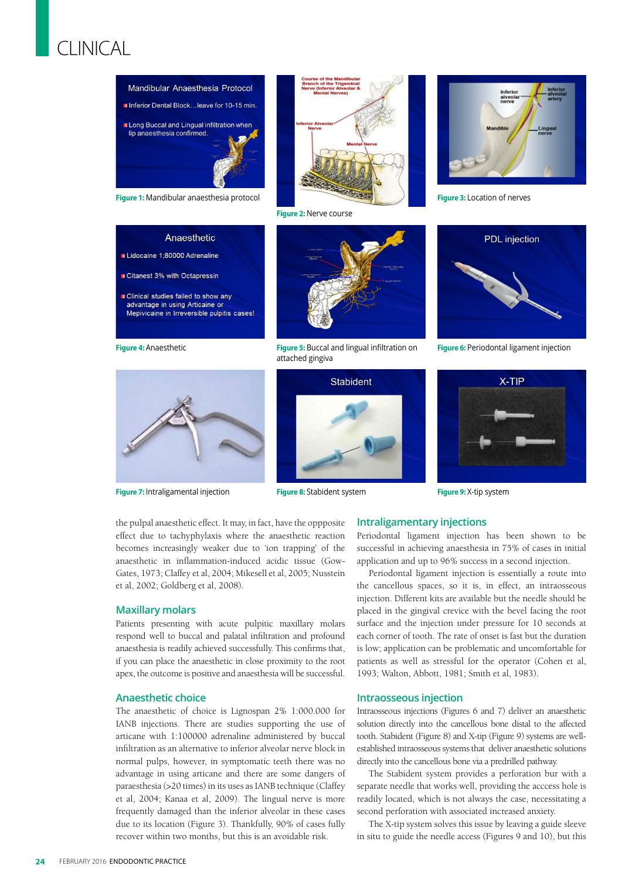# CLINICAL



**Figure 1:** Mandibular anaesthesia protocol



**Figure 2:** Nerve course



**Figure 3:** Location of nerves

## Anaesthetic

Lidocaine 1:80000 Adrenaline

- Citanest 3% with Octapressin
- Clinical studies failed to show any advantage in using Articaine o Mepivicaine in Irreversible pulpitis cases!

**Figure 4:** Anaesthetic



**Figure 5:** Buccal and lingual infiltration on attached gingiva



**Figure 6: Periodontal ligament injection** 

X-TIP



**Figure 7:** Intraligamental injection



**Figure 8:** Stabident system

the pulpal anaesthetic effect. It may, in fact, have the oppposite effect due to tachyphylaxis where the anaesthetic reaction becomes increasingly weaker due to 'ion trapping' of the anaesthetic in inflammation-induced acidic tissue (Gow-Gates, 1973; Claffey et al, 2004; Mikesell et al, 2005; Nusstein et al, 2002; Goldberg et al, 2008).

#### **Maxillary molars**

Patients presenting with acute pulpitic maxillary molars respond well to buccal and palatal infiltration and profound anaesthesia is readily achieved successfully. This confirms that, if you can place the anaesthetic in close proximity to the root apex, the outcome is positive and anaesthesia will be successful.

## **Anaesthetic choice**

The anaesthetic of choice is Lignospan 2% 1:000.000 for IANB injections. There are studies supporting the use of articane with 1:100000 adrenaline administered by buccal infiltration as an alternative to inferior alveolar nerve block in normal pulps, however, in symptomatic teeth there was no advantage in using articane and there are some dangers of paraesthesia (>20 times) in its uses as IANB technique (Claffey et al, 2004; Kanaa et al, 2009). The lingual nerve is more frequently damaged than the inferior alveolar in these cases due to its location (Figure 3). Thankfully, 90% of cases fully recover within two months, but this is an avoidable risk.

## **Intraligamentary injections Figure 9:** X-tip system

Periodontal ligament injection has been shown to be successful in achieving anaesthesia in 75% of cases in initial application and up to 96% success in a second injection.

Periodontal ligament injection is essentially a route into the cancellous spaces, so it is, in effect, an intraosseous injection. Different kits are available but the needle should be placed in the gingival crevice with the bevel facing the root surface and the injection under pressure for 10 seconds at each corner of tooth. The rate of onset is fast but the duration is low; application can be problematic and uncomfortable for patients as well as stressful for the operator (Cohen et al, 1993; Walton, Abbott, 1981; Smith et al, 1983).

#### **Intraosseous injection**

Intraosseous injections (Figures 6 and 7) deliver an anaesthetic solution directly into the cancellous bone distal to the affected tooth. Stabident (Figure 8) and X-tip (Figure 9) systems are wellestablished intraosseous systems that deliver anaesthetic solutions directly into the cancellous bone via a predrilled pathway.

The Stabident system provides a perforation bur with a separate needle that works well, providing the acccess hole is readily located, which is not always the case, necessitating a second perforation with associated increased anxiety.

The X-tip system solves this issue by leaving a guide sleeve in situ to guide the needle access (Figures 9 and 10), but this